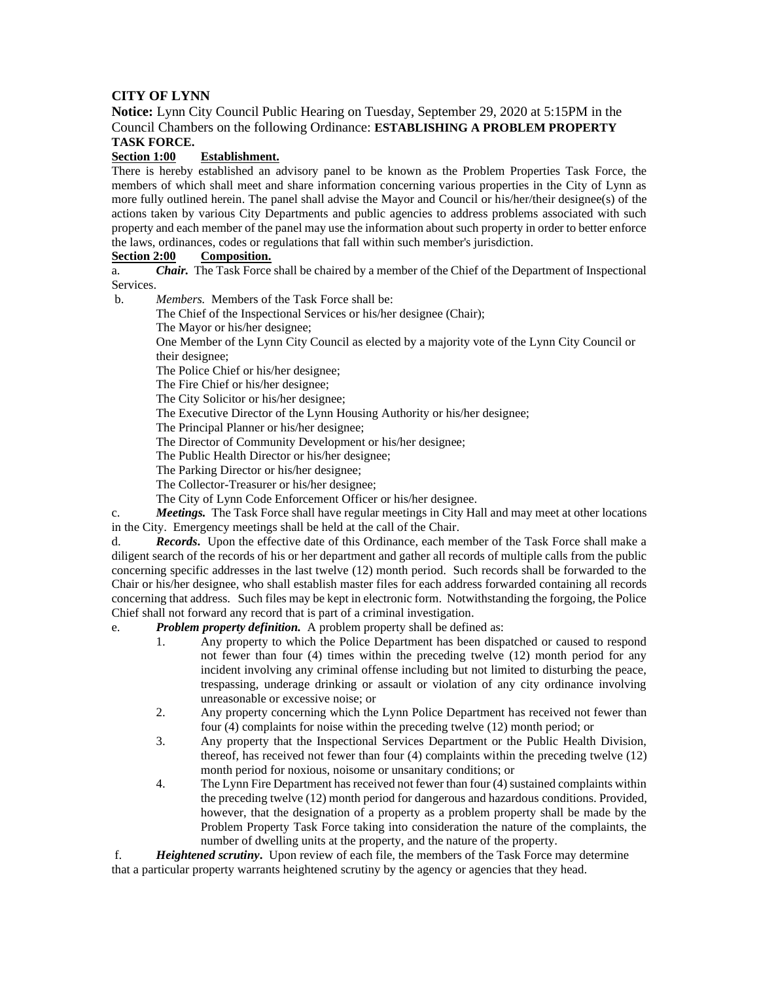## **CITY OF LYNN**

**Notice:** Lynn City Council Public Hearing on Tuesday, September 29, 2020 at 5:15PM in the Council Chambers on the following Ordinance: **ESTABLISHING A PROBLEM PROPERTY TASK FORCE.**

## **Section 1:00 Establishment.**

There is hereby established an advisory panel to be known as the Problem Properties Task Force, the members of which shall meet and share information concerning various properties in the City of Lynn as more fully outlined herein. The panel shall advise the Mayor and Council or his/her/their designee(s) of the actions taken by various City Departments and public agencies to address problems associated with such property and each member of the panel may use the information about such property in order to better enforce the laws, ordinances, codes or regulations that fall within such member's jurisdiction.

## **Section 2:00 Composition.**

a. *Chair.* The Task Force shall be chaired by a member of the Chief of the Department of Inspectional Services.

b. *Members.* Members of the Task Force shall be:

The Chief of the Inspectional Services or his/her designee (Chair);

The Mayor or his/her designee;

One Member of the Lynn City Council as elected by a majority vote of the Lynn City Council or their designee;

The Police Chief or his/her designee;

The Fire Chief or his/her designee;

The City Solicitor or his/her designee;

The Executive Director of the Lynn Housing Authority or his/her designee;

The Principal Planner or his/her designee;

The Director of Community Development or his/her designee;

The Public Health Director or his/her designee;

The Parking Director or his/her designee;

The Collector-Treasurer or his/her designee;

The City of Lynn Code Enforcement Officer or his/her designee.

c. *Meetings.* The Task Force shall have regular meetings in City Hall and may meet at other locations in the City. Emergency meetings shall be held at the call of the Chair.

d. *Records***.** Upon the effective date of this Ordinance, each member of the Task Force shall make a diligent search of the records of his or her department and gather all records of multiple calls from the public concerning specific addresses in the last twelve (12) month period. Such records shall be forwarded to the Chair or his/her designee, who shall establish master files for each address forwarded containing all records concerning that address. Such files may be kept in electronic form. Notwithstanding the forgoing, the Police Chief shall not forward any record that is part of a criminal investigation.

e. *Problem property definition.* A problem property shall be defined as:

- 1. Any property to which the Police Department has been dispatched or caused to respond not fewer than four (4) times within the preceding twelve (12) month period for any incident involving any criminal offense including but not limited to disturbing the peace, trespassing, underage drinking or assault or violation of any city ordinance involving unreasonable or excessive noise; or
- 2. Any property concerning which the Lynn Police Department has received not fewer than four (4) complaints for noise within the preceding twelve (12) month period; or
- 3. Any property that the Inspectional Services Department or the Public Health Division, thereof, has received not fewer than four (4) complaints within the preceding twelve (12) month period for noxious, noisome or unsanitary conditions; or
- 4. The Lynn Fire Department has received not fewer than four (4) sustained complaints within the preceding twelve (12) month period for dangerous and hazardous conditions. Provided, however, that the designation of a property as a problem property shall be made by the Problem Property Task Force taking into consideration the nature of the complaints, the number of dwelling units at the property, and the nature of the property.

f. *Heightened scrutiny***.** Upon review of each file, the members of the Task Force may determine that a particular property warrants heightened scrutiny by the agency or agencies that they head.